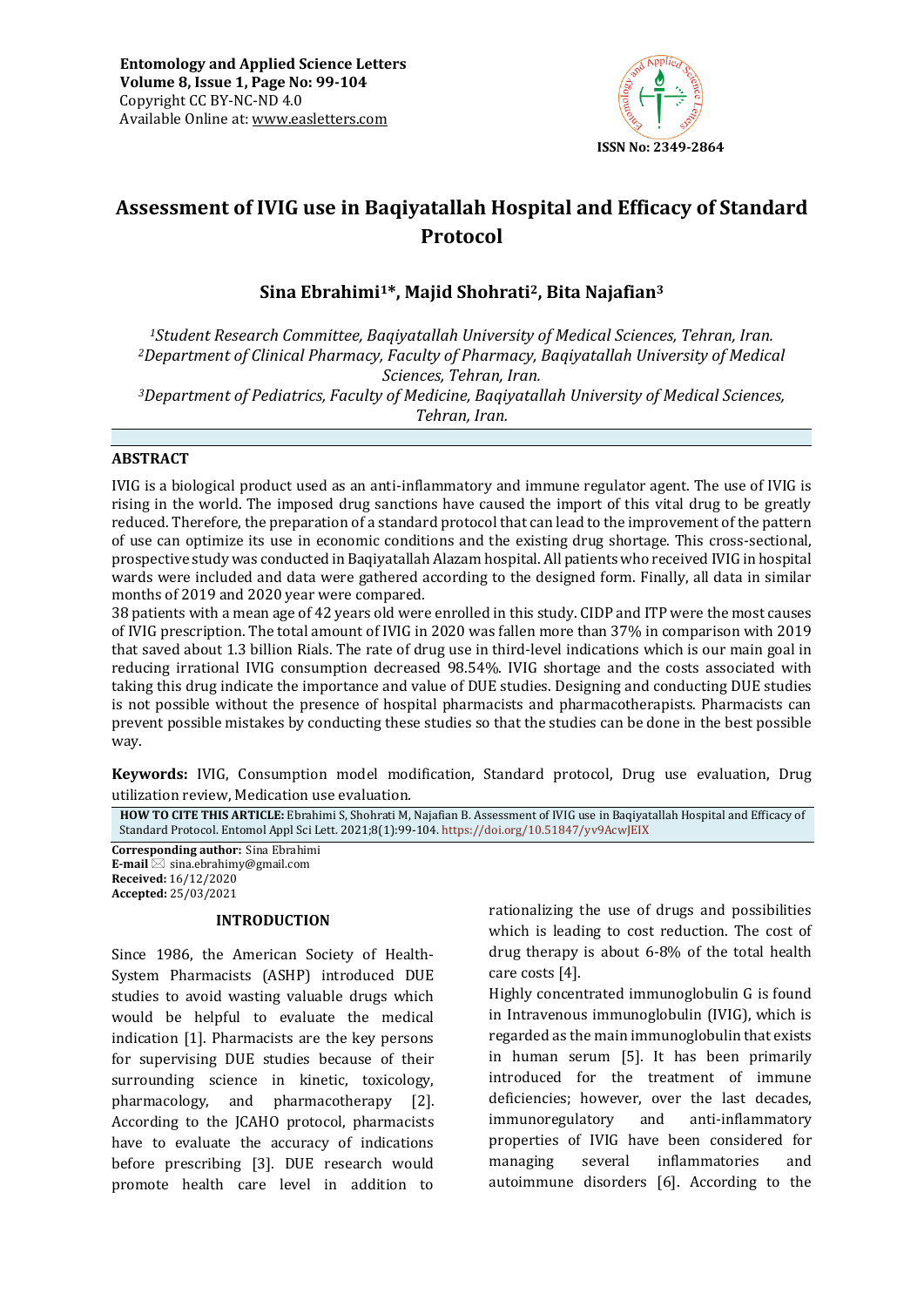

# **Assessment of IVIG use in Baqiyatallah Hospital and Efficacy of Standard Protocol**

# **Sina Ebrahimi1\*, Majid Shohrati2, Bita Najafian<sup>3</sup>**

*<sup>1</sup>Student Research Committee, Baqiyatallah University of Medical Sciences, Tehran, Iran. <sup>2</sup>Department of Clinical Pharmacy, Faculty of Pharmacy, Baqiyatallah University of Medical Sciences, Tehran, Iran. <sup>3</sup>Department of Pediatrics, Faculty of Medicine, Baqiyatallah University of Medical Sciences, Tehran, Iran.*

### **ABSTRACT**

IVIG is a biological product used as an anti-inflammatory and immune regulator agent. The use of IVIG is rising in the world. The imposed drug sanctions have caused the import of this vital drug to be greatly reduced. Therefore, the preparation of a standard protocol that can lead to the improvement of the pattern of use can optimize its use in economic conditions and the existing drug shortage. This cross-sectional, prospective study was conducted in Baqiyatallah Alazam hospital. All patients who received IVIG in hospital wards were included and data were gathered according to the designed form. Finally, all data in similar months of 2019 and 2020 year were compared.

38 patients with a mean age of 42 years old were enrolled in this study. CIDP and ITP were the most causes of IVIG prescription. The total amount of IVIG in 2020 was fallen more than 37% in comparison with 2019 that saved about 1.3 billion Rials. The rate of drug use in third-level indications which is our main goal in reducing irrational IVIG consumption decreased 98.54%. IVIG shortage and the costs associated with taking this drug indicate the importance and value of DUE studies. Designing and conducting DUE studies is not possible without the presence of hospital pharmacists and pharmacotherapists. Pharmacists can prevent possible mistakes by conducting these studies so that the studies can be done in the best possible way.

**Keywords:** IVIG, Consumption model modification, Standard protocol, Drug use evaluation, Drug utilization review, Medication use evaluation*.*

**HOW TO CITE THIS ARTICLE:** Ebrahimi S, Shohrati M, Najafian B. Assessment of IVIG use in Baqiyatallah Hospital and Efficacy of Standard Protocol. Entomol Appl Sci Lett. 2021;8(1):99-104. <https://doi.org/10.51847/yv9AcwJEIX>

**Corresponding author:** Sina Ebrahimi **E-mail**  $\boxtimes$  sina.ebrahimy@gmail.com **Received:** 16/12/2020 **Accepted:** 25/03/2021

### **INTRODUCTION**

Since 1986, the American Society of Health-System Pharmacists (ASHP) introduced DUE studies to avoid wasting valuable drugs which would be helpful to evaluate the medical indication [1]. Pharmacists are the key persons for supervising DUE studies because of their surrounding science in kinetic, toxicology, pharmacology, and pharmacotherapy [2]. According to the JCAHO protocol, pharmacists have to evaluate the accuracy of indications before prescribing [3]. DUE research would promote health care level in addition to

rationalizing the use of drugs and possibilities which is leading to cost reduction. The cost of drug therapy is about 6-8% of the total health care costs [4].

Highly concentrated immunoglobulin G is found in Intravenous immunoglobulin (IVIG), which is regarded as the main immunoglobulin that exists in human serum [5]. It has been primarily introduced for the treatment of immune deficiencies; however, over the last decades, immunoregulatory and anti-inflammatory properties of IVIG have been considered for managing several inflammatories and autoimmune disorders [6]. According to the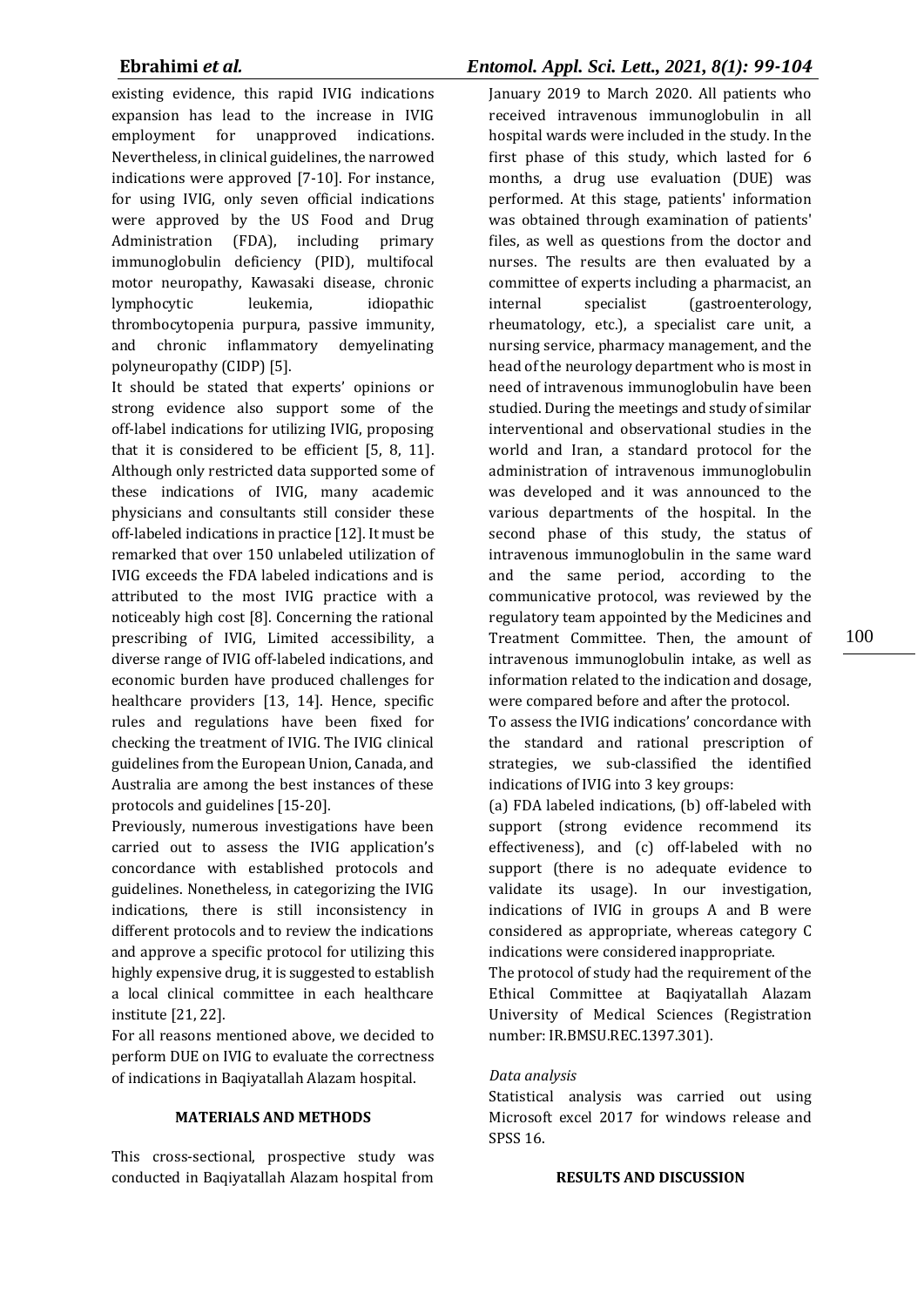existing evidence, this rapid IVIG indications expansion has lead to the increase in IVIG employment for unapproved indications. Nevertheless, in clinical guidelines, the narrowed indications were approved [7-10]. For instance, for using IVIG, only seven official indications were approved by the US Food and Drug Administration (FDA), including primary immunoglobulin deficiency (PID), multifocal motor neuropathy, Kawasaki disease, chronic lymphocytic leukemia, idiopathic thrombocytopenia purpura, passive immunity, and chronic inflammatory demyelinating polyneuropathy (CIDP) [5].

It should be stated that experts' opinions or strong evidence also support some of the off-label indications for utilizing IVIG, proposing that it is considered to be efficient [5, 8, 11]. Although only restricted data supported some of these indications of IVIG, many academic physicians and consultants still consider these off-labeled indications in practice [12]. It must be remarked that over 150 unlabeled utilization of IVIG exceeds the FDA labeled indications and is attributed to the most IVIG practice with a noticeably high cost [8]. Concerning the rational prescribing of IVIG, Limited accessibility, a diverse range of IVIG off-labeled indications, and economic burden have produced challenges for healthcare providers [13, 14]. Hence, specific rules and regulations have been fixed for checking the treatment of IVIG. The IVIG clinical guidelines from the European Union, Canada, and Australia are among the best instances of these protocols and guidelines [15-20].

Previously, numerous investigations have been carried out to assess the IVIG application's concordance with established protocols and guidelines. Nonetheless, in categorizing the IVIG indications, there is still inconsistency in different protocols and to review the indications and approve a specific protocol for utilizing this highly expensive drug, it is suggested to establish a local clinical committee in each healthcare institute [21, 22].

For all reasons mentioned above, we decided to perform DUE on IVIG to evaluate the correctness of indications in Baqiyatallah Alazam hospital.

### **MATERIALS AND METHODS**

This cross-sectional, prospective study was conducted in Baqiyatallah Alazam hospital from

# **Ebrahimi** *et al.**Entomol. Appl. Sci. Lett., 2021, 8(1): 99-104*

January 2019 to March 2020. All patients who received intravenous immunoglobulin in all hospital wards were included in the study. In the first phase of this study, which lasted for 6 months, a drug use evaluation (DUE) was performed. At this stage, patients' information was obtained through examination of patients' files, as well as questions from the doctor and nurses. The results are then evaluated by a committee of experts including a pharmacist, an internal specialist (gastroenterology, rheumatology, etc.), a specialist care unit, a nursing service, pharmacy management, and the head of the neurology department who is most in need of intravenous immunoglobulin have been studied. During the meetings and study of similar interventional and observational studies in the world and Iran, a standard protocol for the administration of intravenous immunoglobulin was developed and it was announced to the various departments of the hospital. In the second phase of this study, the status of intravenous immunoglobulin in the same ward and the same period, according to the communicative protocol, was reviewed by the regulatory team appointed by the Medicines and Treatment Committee. Then, the amount of intravenous immunoglobulin intake, as well as information related to the indication and dosage, were compared before and after the protocol.

To assess the IVIG indications' concordance with the standard and rational prescription of strategies, we sub-classified the identified indications of IVIG into 3 key groups:

(a) FDA labeled indications, (b) off-labeled with support (strong evidence recommend its effectiveness), and (c) off-labeled with no support (there is no adequate evidence to validate its usage). In our investigation, indications of IVIG in groups A and B were considered as appropriate, whereas category C indications were considered inappropriate.

The protocol of study had the requirement of the Ethical Committee at Baqiyatallah Alazam University of Medical Sciences (Registration number: IR.BMSU.REC.1397.301).

### *Data analysis*

Statistical analysis was carried out using Microsoft excel 2017 for windows release and SPSS 16.

### **RESULTS AND DISCUSSION**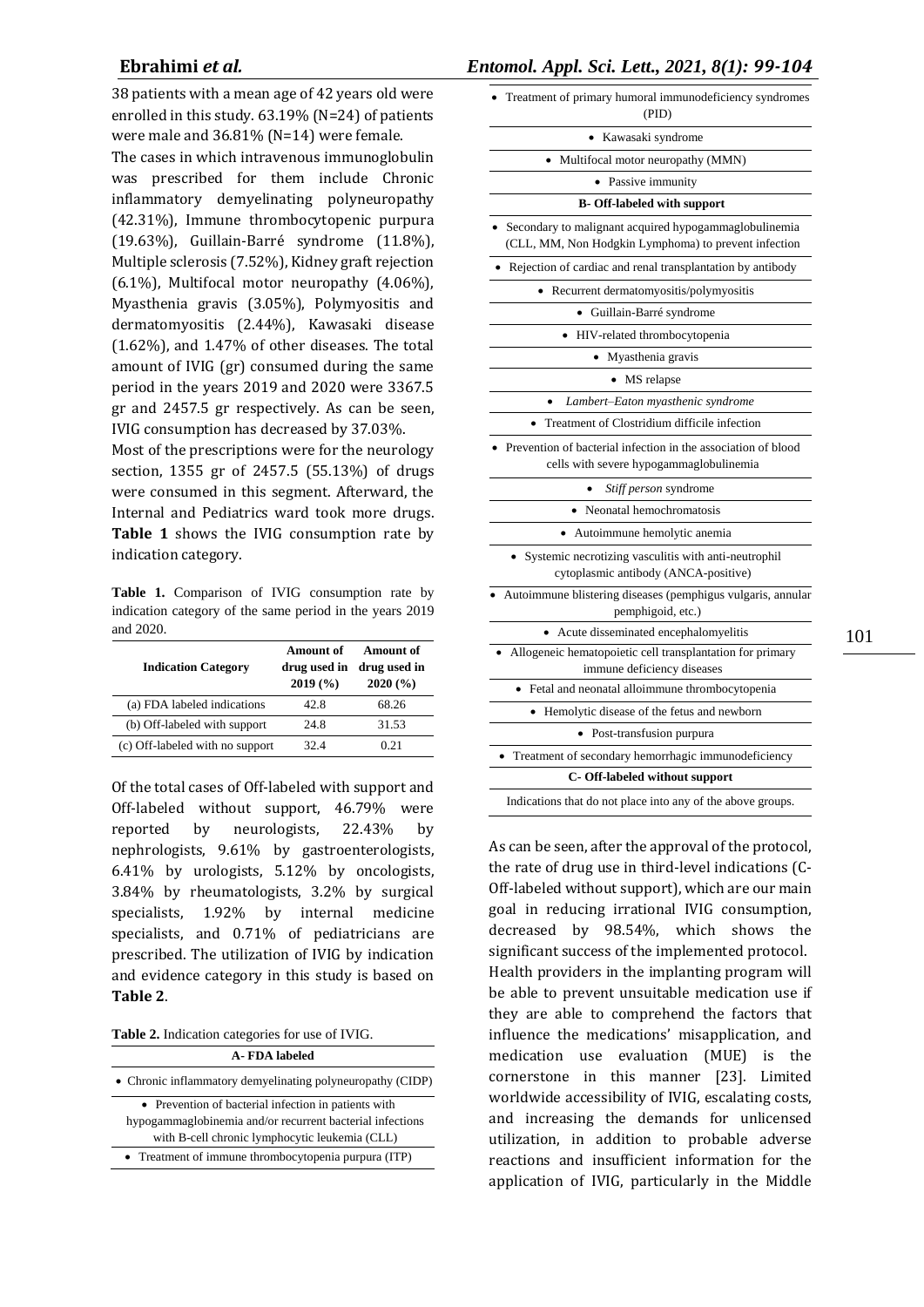38 patients with a mean age of 42 years old were enrolled in this study. 63.19% (N=24) of patients were male and 36.81% (N=14) were female.

The cases in which intravenous immunoglobulin was prescribed for them include Chronic inflammatory demyelinating polyneuropathy (42.31%), Immune thrombocytopenic purpura (19.63%), Guillain-Barré syndrome (11.8%), Multiple sclerosis (7.52%), Kidney graft rejection (6.1%), Multifocal motor neuropathy (4.06%), Myasthenia gravis (3.05%), Polymyositis and dermatomyositis (2.44%), Kawasaki disease (1.62%), and 1.47% of other diseases. The total amount of IVIG (gr) consumed during the same period in the years 2019 and 2020 were 3367.5 gr and 2457.5 gr respectively. As can be seen, IVIG consumption has decreased by 37.03%.

Most of the prescriptions were for the neurology section, 1355 gr of 2457.5 (55.13%) of drugs were consumed in this segment. Afterward, the Internal and Pediatrics ward took more drugs. **Table 1** shows the IVIG consumption rate by indication category.

**Table 1.** Comparison of IVIG consumption rate by indication category of the same period in the years 2019 and 2020.

| <b>Indication Category</b>      | Amount of<br>drug used in<br>2019(%) | Amount of<br>drug used in<br>2020(%) |
|---------------------------------|--------------------------------------|--------------------------------------|
| (a) FDA labeled indications     | 42.8                                 | 68.26                                |
| (b) Off-labeled with support    | 24.8                                 | 31.53                                |
| (c) Off-labeled with no support | 32.4                                 | 0.21                                 |

Of the total cases of Off-labeled with support and Off-labeled without support, 46.79% were reported by neurologists, 22.43% by nephrologists, 9.61% by gastroenterologists, 6.41% by urologists, 5.12% by oncologists, 3.84% by rheumatologists, 3.2% by surgical specialists, 1.92% by internal medicine specialists, and 0.71% of pediatricians are prescribed. The utilization of IVIG by indication and evidence category in this study is based on **Table 2**.

**Table 2.** Indication categories for use of IVIG.

| A-FDA labeled                                                                                                                                                       |
|---------------------------------------------------------------------------------------------------------------------------------------------------------------------|
| • Chronic inflammatory demyelinating polyneuropathy (CIDP)                                                                                                          |
| • Prevention of bacterial infection in patients with<br>hypogammaglobinemia and/or recurrent bacterial infections<br>with B-cell chronic lymphocytic leukemia (CLL) |
| • Treatment of immune thrombocytopenia purpura (ITP)                                                                                                                |
|                                                                                                                                                                     |

**Ebrahimi** *et al.**Entomol. Appl. Sci. Lett., 2021, 8(1): 99-104*

| Treatment of primary humoral immunodeficiency syndromes<br>(PID)                                              |
|---------------------------------------------------------------------------------------------------------------|
| Kawasaki syndrome                                                                                             |
| Multifocal motor neuropathy (MMN)                                                                             |
| Passive immunity                                                                                              |
| <b>B- Off-labeled with support</b>                                                                            |
| Secondary to malignant acquired hypogammaglobulinemia<br>(CLL, MM, Non Hodgkin Lymphoma) to prevent infection |
| Rejection of cardiac and renal transplantation by antibody                                                    |
| Recurrent dermatomyositis/polymyositis                                                                        |
| Guillain-Barré syndrome                                                                                       |
| HIV-related thrombocytopenia<br>$\bullet$                                                                     |
| • Myasthenia gravis                                                                                           |
| MS relapse                                                                                                    |
| Lambert-Eaton myasthenic syndrome                                                                             |
| Treatment of Clostridium difficile infection                                                                  |
| Prevention of bacterial infection in the association of blood<br>cells with severe hypogammaglobulinemia      |
| Stiff person syndrome                                                                                         |
| Neonatal hemochromatosis                                                                                      |
| Autoimmune hemolytic anemia                                                                                   |
| Systemic necrotizing vasculitis with anti-neutrophil<br>cytoplasmic antibody (ANCA-positive)                  |
| Autoimmune blistering diseases (pemphigus vulgaris, annular<br>pemphigoid, etc.)                              |
| Acute disseminated encephalomyelitis                                                                          |
| • Allogeneic hematopoietic cell transplantation for primary<br>immune deficiency diseases                     |
| • Fetal and neonatal alloimmune thrombocytopenia                                                              |
| Hemolytic disease of the fetus and newborn                                                                    |
| Post-transfusion purpura                                                                                      |
| Treatment of secondary hemorrhagic immunodeficiency                                                           |
| C- Off-labeled without support                                                                                |
| Indications that do not place into any of the above groups.                                                   |

As can be seen, after the approval of the protocol, the rate of drug use in third-level indications (C-Off-labeled without support), which are our main goal in reducing irrational IVIG consumption, decreased by 98.54%, which shows the significant success of the implemented protocol. Health providers in the implanting program will be able to prevent unsuitable medication use if they are able to comprehend the factors that influence the medications' misapplication, and medication use evaluation (MUE) is the cornerstone in this manner [23]. Limited worldwide accessibility of IVIG, escalating costs, and increasing the demands for unlicensed utilization, in addition to probable adverse reactions and insufficient information for the application of IVIG, particularly in the Middle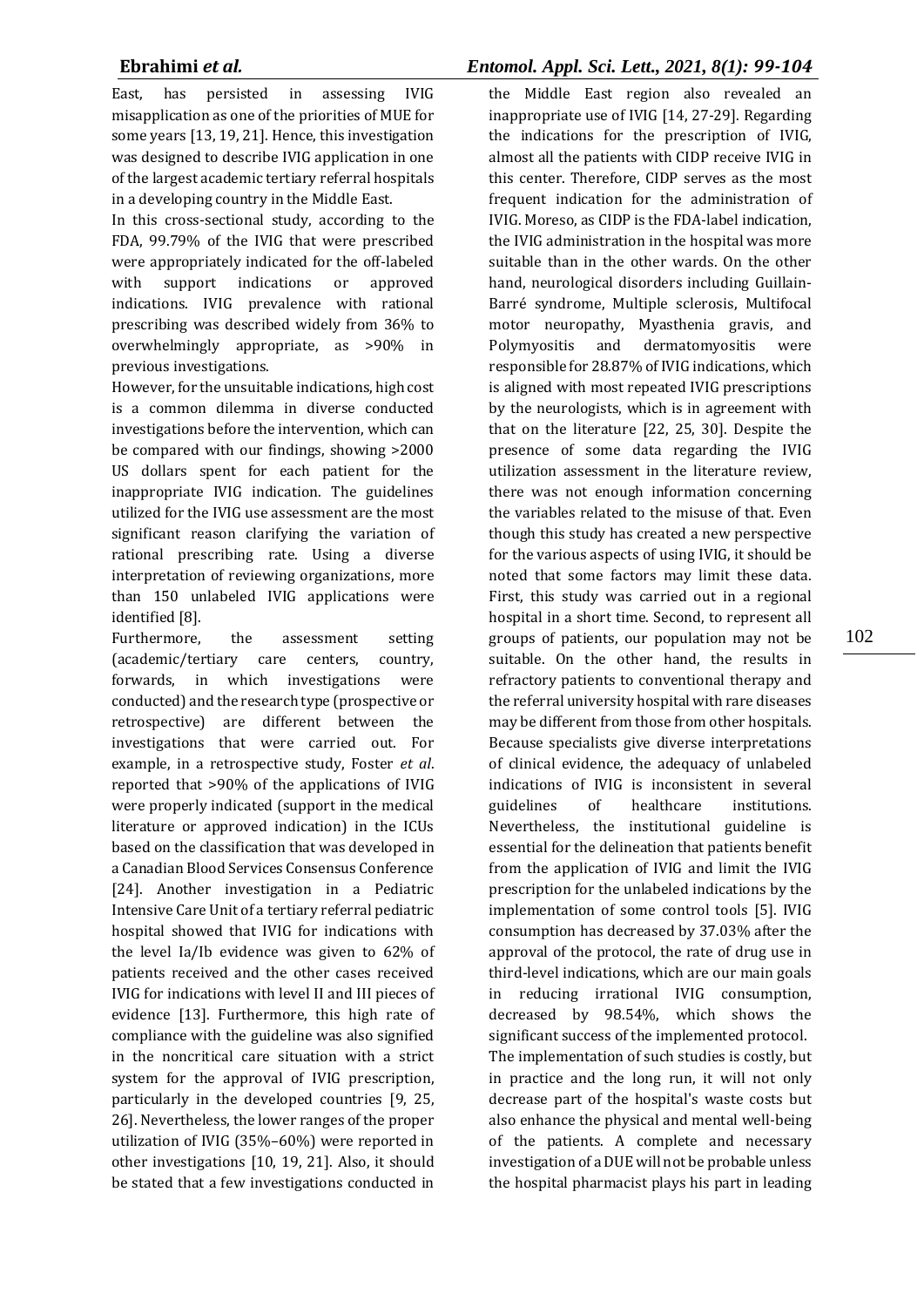East, has persisted in assessing IVIG misapplication as one of the priorities of MUE for some years [13, 19, 21]. Hence, this investigation was designed to describe IVIG application in one of the largest academic tertiary referral hospitals in a developing country in the Middle East.

In this cross‑sectional study, according to the FDA, 99.79% of the IVIG that were prescribed were appropriately indicated for the off-labeled with support indications or approved indications. IVIG prevalence with rational prescribing was described widely from 36% to overwhelmingly appropriate, as >90% in previous investigations.

However, for the unsuitable indications, high cost is a common dilemma in diverse conducted investigations before the intervention, which can be compared with our findings, showing >2000 US dollars spent for each patient for the inappropriate IVIG indication. The guidelines utilized for the IVIG use assessment are the most significant reason clarifying the variation of rational prescribing rate. Using a diverse interpretation of reviewing organizations, more than 150 unlabeled IVIG applications were identified [8].

Furthermore, the assessment setting (academic/tertiary care centers, country, forwards, in which investigations were conducted) and the research type (prospective or retrospective) are different between the investigations that were carried out. For example, in a retrospective study, Foster *et al*. reported that >90% of the applications of IVIG were properly indicated (support in the medical literature or approved indication) in the ICUs based on the classification that was developed in a Canadian Blood Services Consensus Conference [24]. Another investigation in a Pediatric Intensive Care Unit of a tertiary referral pediatric hospital showed that IVIG for indications with the level Ia/Ib evidence was given to 62% of patients received and the other cases received IVIG for indications with level II and III pieces of evidence [13]. Furthermore, this high rate of compliance with the guideline was also signified in the noncritical care situation with a strict system for the approval of IVIG prescription, particularly in the developed countries [9, 25, 26]. Nevertheless, the lower ranges of the proper utilization of IVIG (35%–60%) were reported in other investigations [10, 19, 21]. Also, it should be stated that a few investigations conducted in

# **Ebrahimi** *et al.**Entomol. Appl. Sci. Lett., 2021, 8(1): 99-104*

the Middle East region also revealed an inappropriate use of IVIG [14, 27-29]. Regarding the indications for the prescription of IVIG, almost all the patients with CIDP receive IVIG in this center. Therefore, CIDP serves as the most frequent indication for the administration of IVIG. Moreso, as CIDP is the FDA‑label indication, the IVIG administration in the hospital was more suitable than in the other wards. On the other hand, neurological disorders including Guillain-Barré syndrome, Multiple sclerosis, Multifocal motor neuropathy, Myasthenia gravis, and Polymyositis and dermatomyositis were responsible for 28.87% of IVIG indications, which is aligned with most repeated IVIG prescriptions by the neurologists, which is in agreement with that on the literature [22, 25, 30]. Despite the presence of some data regarding the IVIG utilization assessment in the literature review, there was not enough information concerning the variables related to the misuse of that. Even though this study has created a new perspective for the various aspects of using IVIG, it should be noted that some factors may limit these data. First, this study was carried out in a regional hospital in a short time. Second, to represent all groups of patients, our population may not be suitable. On the other hand, the results in refractory patients to conventional therapy and the referral university hospital with rare diseases may be different from those from other hospitals. Because specialists give diverse interpretations of clinical evidence, the adequacy of unlabeled indications of IVIG is inconsistent in several guidelines of healthcare institutions. Nevertheless, the institutional guideline is essential for the delineation that patients benefit from the application of IVIG and limit the IVIG prescription for the unlabeled indications by the implementation of some control tools [5]. IVIG consumption has decreased by 37.03% after the approval of the protocol, the rate of drug use in third-level indications, which are our main goals in reducing irrational IVIG consumption, decreased by 98.54%, which shows the significant success of the implemented protocol. The implementation of such studies is costly, but in practice and the long run, it will not only decrease part of the hospital's waste costs but also enhance the physical and mental well-being of the patients. A complete and necessary investigation of a DUE will not be probable unless the hospital pharmacist plays his part in leading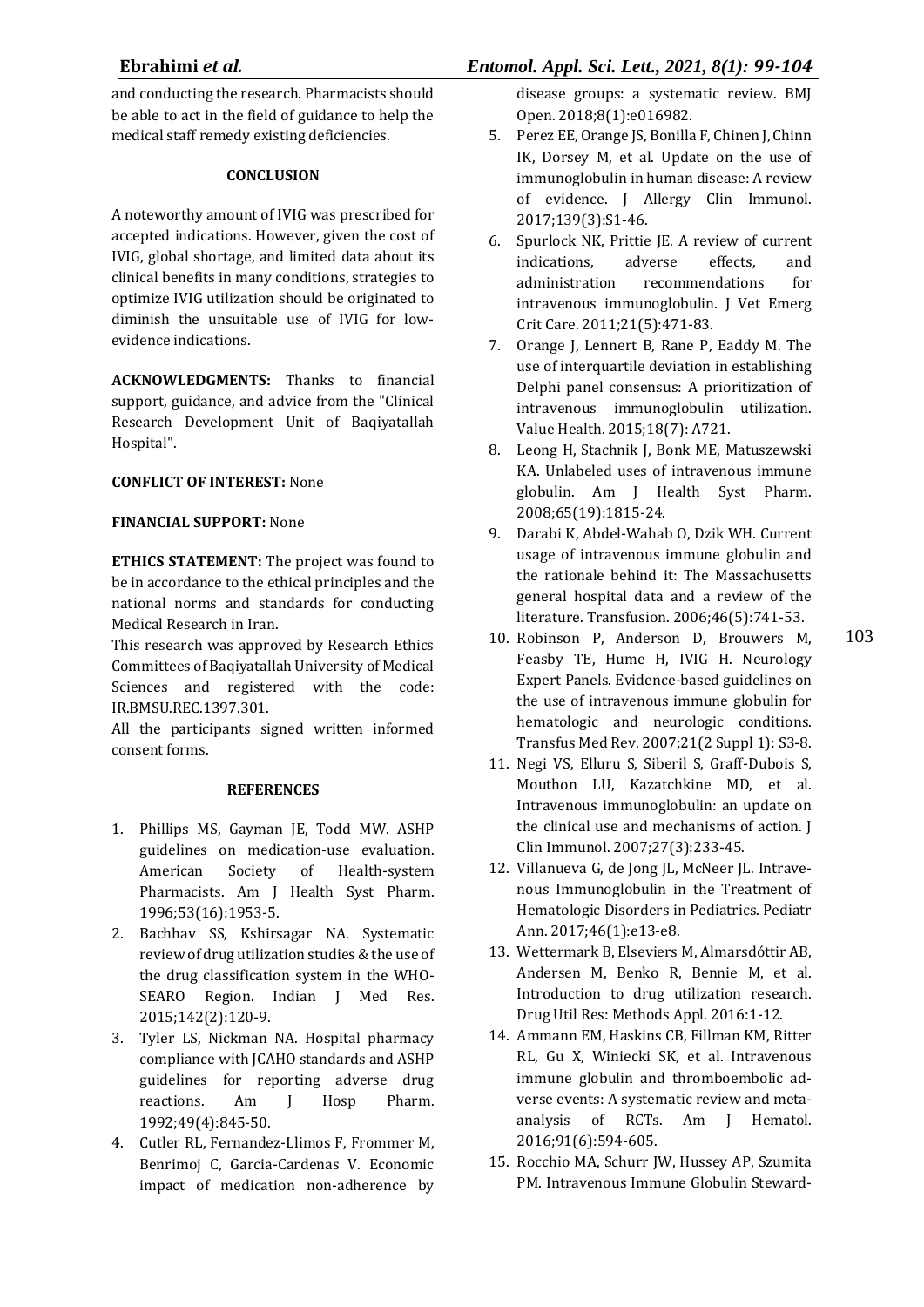and conducting the research. Pharmacists should be able to act in the field of guidance to help the medical staff remedy existing deficiencies.

### **CONCLUSION**

A noteworthy amount of IVIG was prescribed for accepted indications. However, given the cost of IVIG, global shortage, and limited data about its clinical benefits in many conditions, strategies to optimize IVIG utilization should be originated to diminish the unsuitable use of IVIG for lowevidence indications.

**ACKNOWLEDGMENTS:** Thanks to financial support, guidance, and advice from the "Clinical Research Development Unit of Baqiyatallah Hospital".

### **CONFLICT OF INTEREST:** None

### **FINANCIAL SUPPORT:** None

**ETHICS STATEMENT:** The project was found to be in accordance to the ethical principles and the national norms and standards for conducting Medical Research in Iran.

This research was approved by Research Ethics Committees of Baqiyatallah University of Medical Sciences and registered with the code: IR.BMSU.REC.1397.301.

All the participants signed written informed consent forms.

### **REFERENCES**

- 1. Phillips MS, Gayman JE, Todd MW. ASHP guidelines on medication-use evaluation. American Society of Health-system Pharmacists. Am J Health Syst Pharm. 1996;53(16):1953-5.
- 2. Bachhav SS, Kshirsagar NA. Systematic review of drug utilization studies & the use of the drug classification system in the WHO-SEARO Region. Indian J Med Res. 2015;142(2):120-9.
- 3. Tyler LS, Nickman NA. Hospital pharmacy compliance with JCAHO standards and ASHP guidelines for reporting adverse drug reactions. Am J Hosp Pharm. 1992;49(4):845-50.
- 4. Cutler RL, Fernandez-Llimos F, Frommer M, Benrimoj C, Garcia-Cardenas V. Economic impact of medication non-adherence by

disease groups: a systematic review. BMJ Open. 2018;8(1):e016982.

- 5. Perez EE, Orange JS, Bonilla F, Chinen J, Chinn IK, Dorsey M, et al. Update on the use of immunoglobulin in human disease: A review of evidence. J Allergy Clin Immunol. 2017;139(3):S1‑46.
- 6. Spurlock NK, Prittie JE. A review of current indications, adverse effects, and administration recommendations for intravenous immunoglobulin. J Vet Emerg Crit Care. 2011;21(5):471‑83.
- 7. Orange J, Lennert B, Rane P, Eaddy M. The use of interquartile deviation in establishing Delphi panel consensus: A prioritization of intravenous immunoglobulin utilization. Value Health. 2015;18(7): A721.
- 8. Leong H, Stachnik J, Bonk ME, Matuszewski KA. Unlabeled uses of intravenous immune globulin. Am J Health Syst Pharm. 2008;65(19):1815‑24.
- 9. Darabi K, Abdel-Wahab O, Dzik WH. Current usage of intravenous immune globulin and the rationale behind it: The Massachusetts general hospital data and a review of the literature. Transfusion. 2006;46(5):741‑53.
- 10. Robinson P, Anderson D, Brouwers M, Feasby TE, Hume H, IVIG H. Neurology Expert Panels. Evidence-based guidelines on the use of intravenous immune globulin for hematologic and neurologic conditions. Transfus Med Rev. 2007;21(2 Suppl 1): S3-8.
- 11. Negi VS, Elluru S, Siberil S, Graff-Dubois S, Mouthon LU, Kazatchkine MD, et al. Intravenous immunoglobulin: an update on the clinical use and mechanisms of action. J Clin Immunol. 2007;27(3):233-45.
- 12. Villanueva G, de Jong JL, McNeer JL. Intravenous Immunoglobulin in the Treatment of Hematologic Disorders in Pediatrics. Pediatr Ann. 2017;46(1):e13-e8.
- 13. Wettermark B, Elseviers M, Almarsdóttir AB, Andersen M, Benko R, Bennie M, et al. Introduction to drug utilization research. Drug Util Res: Methods Appl. 2016:1-12.
- 14. Ammann EM, Haskins CB, Fillman KM, Ritter RL, Gu X, Winiecki SK, et al. Intravenous immune globulin and thromboembolic adverse events: A systematic review and metaanalysis of RCTs. Am J Hematol. 2016;91(6):594-605.
- 15. Rocchio MA, Schurr JW, Hussey AP, Szumita PM. Intravenous Immune Globulin Steward-